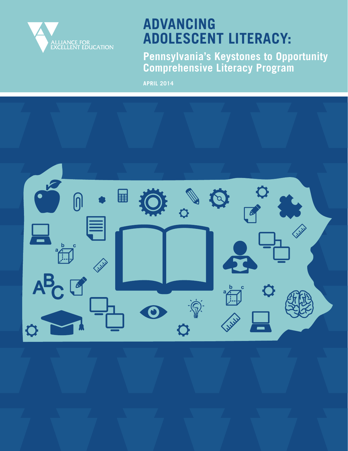

# **ADVANCING ADOLESCENT LITERACY:**

**Pennsylvania's Keystones to Opportunity Comprehensive Literacy Program**

**APRIL 2014**

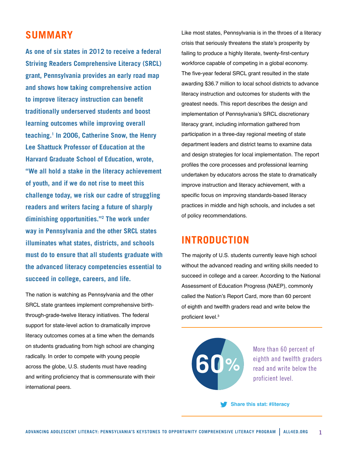### **SUMMARY**

**As one of six states in 2012 to receive a federal Striving Readers Comprehensive Literacy (SRCL) grant, Pennsylvania provides an early road map and shows how taking comprehensive action to improve literacy instruction can benefit traditionally underserved students and boost learning outcomes while improving overall teaching.1 In 2006, Catherine Snow, the Henry Lee Shattuck Professor of Education at the Harvard Graduate School of Education, wrote, "We all hold a stake in the literacy achievement of youth, and if we do not rise to meet this challenge today, we risk our cadre of struggling readers and writers facing a future of sharply diminishing opportunities."2 The work under way in Pennsylvania and the other SRCL states illuminates what states, districts, and schools must do to ensure that all students graduate with the advanced literacy competencies essential to succeed in college, careers, and life.**

The nation is watching as Pennsylvania and the other SRCL state grantees implement comprehensive birththrough-grade-twelve literacy initiatives. The federal support for state-level action to dramatically improve literacy outcomes comes at a time when the demands on students graduating from high school are changing radically. In order to compete with young people across the globe, U.S. students must have reading and writing proficiency that is commensurate with their international peers.

Like most states, Pennsylvania is in the throes of a literacy crisis that seriously threatens the state's prosperity by failing to produce a highly literate, twenty-first-century workforce capable of competing in a global economy. The five-year federal SRCL grant resulted in the state awarding \$36.7 million to local school districts to advance literacy instruction and outcomes for students with the greatest needs. This report describes the design and implementation of Pennsylvania's SRCL discretionary literacy grant, including information gathered from participation in a three-day regional meeting of state department leaders and district teams to examine data and design strategies for local implementation. The report profiles the core processes and professional learning undertaken by educators across the state to dramatically improve instruction and literacy achievement, with a specific focus on improving standards-based literacy practices in middle and high schools, and includes a set of policy recommendations.

### **INTRODUCTION**

The majority of U.S. students currently leave high school without the advanced reading and writing skills needed to succeed in college and a career. According to the National Assessment of Education Progress (NAEP), commonly called the Nation's Report Card, more than 60 percent of eighth and twelfth graders read and write below the proficient level.<sup>3</sup>



More than 60 percent of eighth and twelfth graders read and write below the proficient level.

**Share this stat: #literacy**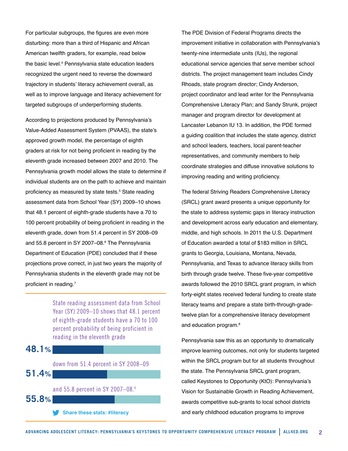For particular subgroups, the figures are even more disturbing: more than a third of Hispanic and African American twelfth graders, for example, read below the basic level.4 Pennsylvania state education leaders recognized the urgent need to reverse the downward trajectory in students' literacy achievement overall, as well as to improve language and literacy achievement for targeted subgroups of underperforming students.

According to projections produced by Pennsylvania's Value-Added Assessment System (PVAAS), the state's approved growth model, the percentage of eighth graders at risk for not being proficient in reading by the eleventh grade increased between 2007 and 2010. The Pennsylvania growth model allows the state to determine if individual students are on the path to achieve and maintain proficiency as measured by state tests.<sup>5</sup> State reading assessment data from School Year (SY) 2009–10 shows that 48.1 percent of eighth-grade students have a 70 to 100 percent probability of being proficient in reading in the eleventh grade, down from 51.4 percent in SY 2008–09 and 55.8 percent in SY 2007–08.<sup>6</sup> The Pennsylvania Department of Education (PDE) concluded that if these projections prove correct, in just two years the majority of Pennsylvania students in the eleventh grade may not be proficient in reading.<sup>7</sup>

> State reading assessment data from School Year (SY) 2009–10 shows that 48.1 percent of eighth-grade students have a 70 to 100 percent probability of being proficient in reading in the eleventh grade



The PDE Division of Federal Programs directs the improvement initiative in collaboration with Pennsylvania's twenty-nine intermediate units (IUs), the regional educational service agencies that serve member school districts. The project management team includes Cindy Rhoads, state program director; Cindy Anderson, project coordinator and lead writer for the Pennsylvania Comprehensive Literacy Plan; and Sandy Strunk, project manager and program director for development at Lancaster Lebanon IU 13. In addition, the PDE formed a guiding coalition that includes the state agency, district and school leaders, teachers, local parent-teacher representatives, and community members to help coordinate strategies and diffuse innovative solutions to improving reading and writing proficiency.

The federal Striving Readers Comprehensive Literacy (SRCL) grant award presents a unique opportunity for the state to address systemic gaps in literacy instruction and development across early education and elementary, middle, and high schools. In 2011 the U.S. Department of Education awarded a total of \$183 million in SRCL grants to Georgia, Louisiana, Montana, Nevada, Pennsylvania, and Texas to advance literacy skills from birth through grade twelve. These five-year competitive awards followed the 2010 SRCL grant program, in which forty-eight states received federal funding to create state literacy teams and prepare a state birth-through-gradetwelve plan for a comprehensive literacy development and education program.<sup>8</sup>

Pennsylvania saw this as an opportunity to dramatically improve learning outcomes, not only for students targeted within the SRCL program but for all students throughout the state. The Pennsylvania SRCL grant program, called Keystones to Opportunity (KtO): Pennsylvania's Vision for Sustainable Growth in Reading Achievement, awards competitive sub-grants to local school districts **Share these stats: #literacy** and early childhood education programs to improve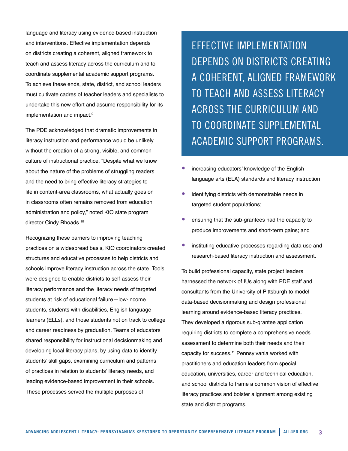language and literacy using evidence-based instruction and interventions. Effective implementation depends on districts creating a coherent, aligned framework to teach and assess literacy across the curriculum and to coordinate supplemental academic support programs. To achieve these ends, state, district, and school leaders must cultivate cadres of teacher leaders and specialists to undertake this new effort and assume responsibility for its implementation and impact.<sup>9</sup>

The PDE acknowledged that dramatic improvements in literacy instruction and performance would be unlikely without the creation of a strong, visible, and common culture of instructional practice. "Despite what we know about the nature of the problems of struggling readers and the need to bring effective literacy strategies to life in content-area classrooms, what actually goes on in classrooms often remains removed from education administration and policy," noted KtO state program director Cindy Rhoads.<sup>10</sup>

Recognizing these barriers to improving teaching practices on a widespread basis, KtO coordinators created structures and educative processes to help districts and schools improve literacy instruction across the state. Tools were designed to enable districts to self-assess their literacy performance and the literacy needs of targeted students at risk of educational failure—low-income students, students with disabilities, English language learners (ELLs), and those students not on track to college and career readiness by graduation. Teams of educators shared responsibility for instructional decisionmaking and developing local literacy plans, by using data to identify students' skill gaps, examining curriculum and patterns of practices in relation to students' literacy needs, and leading evidence-based improvement in their schools. These processes served the multiple purposes of

EFFECTIVE IMPLEMENTATION DEPENDS ON DISTRICTS CREATING A COHERENT, ALIGNED FRAMEWORK TO TEACH AND ASSESS LITERACY ACROSS THE CURRICULUM AND TO COORDINATE SUPPLEMENTAL ACADEMIC SUPPORT PROGRAMS.

- increasing educators' knowledge of the English language arts (ELA) standards and literacy instruction;
- identifying districts with demonstrable needs in targeted student populations;
- ensuring that the sub-grantees had the capacity to produce improvements and short-term gains; and
- instituting educative processes regarding data use and research-based literacy instruction and assessment.

To build professional capacity, state project leaders harnessed the network of IUs along with PDE staff and consultants from the University of Pittsburgh to model data-based decisionmaking and design professional learning around evidence-based literacy practices. They developed a rigorous sub-grantee application requiring districts to complete a comprehensive needs assessment to determine both their needs and their capacity for success.<sup>11</sup> Pennsylvania worked with practitioners and education leaders from special education, universities, career and technical education, and school districts to frame a common vision of effective literacy practices and bolster alignment among existing state and district programs.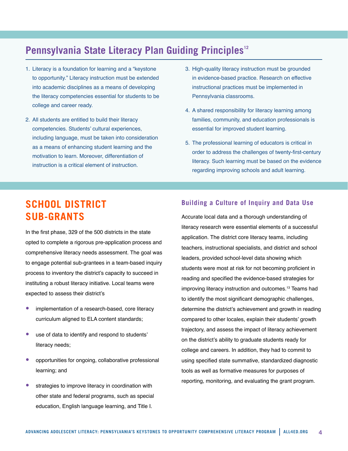### **Pennsylvania State Literacy Plan Guiding Principles<sup>12</sup>**

- 1. Literacy is a foundation for learning and a "keystone to opportunity." Literacy instruction must be extended into academic disciplines as a means of developing the literacy competencies essential for students to be college and career ready.
- 2. All students are entitled to build their literacy competencies. Students' cultural experiences, including language, must be taken into consideration as a means of enhancing student learning and the motivation to learn. Moreover, differentiation of instruction is a critical element of instruction.
- 3. High-quality literacy instruction must be grounded in evidence-based practice. Research on effective instructional practices must be implemented in Pennsylvania classrooms.
- 4. A shared responsibility for literacy learning among families, community, and education professionals is essential for improved student learning.
- 5. The professional learning of educators is critical in order to address the challenges of twenty-first-century literacy. Such learning must be based on the evidence regarding improving schools and adult learning.

# **SCHOOL DISTRICT SUB-GRANTS**

In the first phase, 329 of the 500 districts in the state opted to complete a rigorous pre-application process and comprehensive literacy needs assessment. The goal was to engage potential sub-grantees in a team-based inquiry process to inventory the district's capacity to succeed in instituting a robust literacy initiative. Local teams were expected to assess their district's

- implementation of a research-based, core literacy curriculum aligned to ELA content standards;
- use of data to identify and respond to students' literacy needs;
- opportunities for ongoing, collaborative professional learning; and
- strategies to improve literacy in coordination with other state and federal programs, such as special education, English language learning, and Title I.

#### **Building a Culture of Inquiry and Data Use**

Accurate local data and a thorough understanding of literacy research were essential elements of a successful application. The district core literacy teams, including teachers, instructional specialists, and district and school leaders, provided school-level data showing which students were most at risk for not becoming proficient in reading and specified the evidence-based strategies for improving literacy instruction and outcomes.<sup>13</sup> Teams had to identify the most significant demographic challenges, determine the district's achievement and growth in reading compared to other locales, explain their students' growth trajectory, and assess the impact of literacy achievement on the district's ability to graduate students ready for college and careers. In addition, they had to commit to using specified state summative, standardized diagnostic tools as well as formative measures for purposes of reporting, monitoring, and evaluating the grant program.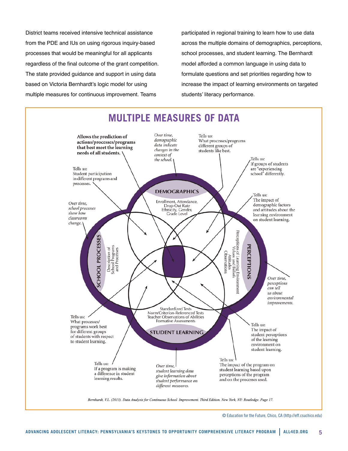District teams received intensive technical assistance from the PDE and IUs on using rigorous inquiry-based processes that would be meaningful for all applicants regardless of the final outcome of the grant competition. The state provided guidance and support in using data based on Victoria Bernhardt's logic model for using multiple measures for continuous improvement. Teams

participated in regional training to learn how to use data across the multiple domains of demographics, perceptions, school processes, and student learning. The Bernhardt model afforded a common language in using data to formulate questions and set priorities regarding how to increase the impact of learning environments on targeted students' literacy performance.



© Education for the Future, Chico, CA [\(http://eff.csuchico.edu\)](http://eff.csuchico.edu)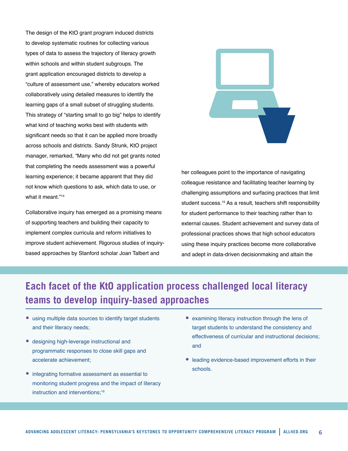The design of the KtO grant program induced districts to develop systematic routines for collecting various types of data to assess the trajectory of literacy growth within schools and within student subgroups. The grant application encouraged districts to develop a "culture of assessment use," whereby educators worked collaboratively using detailed measures to identify the learning gaps of a small subset of struggling students. This strategy of "starting small to go big" helps to identify what kind of teaching works best with students with significant needs so that it can be applied more broadly across schools and districts. Sandy Strunk, KtO project manager, remarked, "Many who did not get grants noted that completing the needs assessment was a powerful learning experience; it became apparent that they did not know which questions to ask, which data to use, or what it meant."<sup>14</sup>

Collaborative inquiry has emerged as a promising means of supporting teachers and building their capacity to implement complex curricula and reform initiatives to improve student achievement. Rigorous studies of inquirybased approaches by Stanford scholar Joan Talbert and



her colleagues point to the importance of navigating colleague resistance and facilitating teacher learning by challenging assumptions and surfacing practices that limit student success.<sup>15</sup> As a result, teachers shift responsibility for student performance to their teaching rather than to external causes. Student achievement and survey data of professional practices shows that high school educators using these inquiry practices become more collaborative and adept in data-driven decisionmaking and attain the

# **Each facet of the KtO application process challenged local literacy teams to develop inquiry-based approaches**

- using multiple data sources to identify target students and their literacy needs;
- designing high-leverage instructional and programmatic responses to close skill gaps and accelerate achievement;
- integrating formative assessment as essential to monitoring student progress and the impact of literacy instruction and interventions:<sup>16</sup>
- examining literacy instruction through the lens of target students to understand the consistency and effectiveness of curricular and instructional decisions; and
- leading evidence-based improvement efforts in their schools.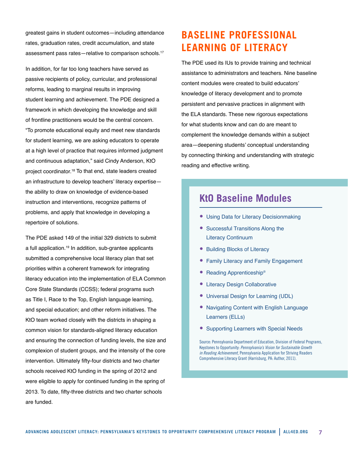greatest gains in student outcomes—including attendance rates, graduation rates, credit accumulation, and state assessment pass rates-relative to comparison schools.<sup>17</sup>

In addition, for far too long teachers have served as passive recipients of policy, curricular, and professional reforms, leading to marginal results in improving student learning and achievement. The PDE designed a framework in which developing the knowledge and skill of frontline practitioners would be the central concern. "To promote educational equity and meet new standards for student learning, we are asking educators to operate at a high level of practice that requires informed judgment and continuous adaptation," said Cindy Anderson, KtO project coordinator.<sup>18</sup> To that end, state leaders created an infrastructure to develop teachers' literacy expertise the ability to draw on knowledge of evidence-based instruction and interventions, recognize patterns of problems, and apply that knowledge in developing a repertoire of solutions.

The PDE asked 149 of the initial 329 districts to submit a full application.<sup>19</sup> In addition, sub-grantee applicants submitted a comprehensive local literacy plan that set priorities within a coherent framework for integrating literacy education into the implementation of ELA Common Core State Standards (CCSS); federal programs such as Title I, Race to the Top, English language learning, and special education; and other reform initiatives. The KtO team worked closely with the districts in shaping a common vision for standards-aligned literacy education and ensuring the connection of funding levels, the size and complexion of student groups, and the intensity of the core intervention. Ultimately fifty-four districts and two charter schools received KtO funding in the spring of 2012 and were eligible to apply for continued funding in the spring of 2013. To date, fifty-three districts and two charter schools are funded.

# **BASELINE PROFESSIONAL LEARNING OF LITERACY**

The PDE used its IUs to provide training and technical assistance to administrators and teachers. Nine baseline content modules were created to build educators' knowledge of literacy development and to promote persistent and pervasive practices in alignment with the ELA standards. These new rigorous expectations for what students know and can do are meant to complement the knowledge demands within a subject area—deepening students' conceptual understanding by connecting thinking and understanding with strategic reading and effective writing.

### **KtO Baseline Modules**

- Using Data for Literacy Decisionmaking
- Successful Transitions Along the Literacy Continuum
- Building Blocks of Literacy
- Family Literacy and Family Engagement
- Reading Apprenticeship®
- **Literacy Design Collaborative**
- Universal Design for Learning (UDL)
- Navigating Content with English Language Learners (ELLs)
- Supporting Learners with Special Needs

Source: Pennsylvania Department of Education, Division of Federal Programs, Keystones to Opportunity: *Pennsylvania's Vision for Sustainable Growth in Reading Achievement*, Pennsylvania Application for Striving Readers Comprehensive Literacy Grant (Harrisburg, PA: Author, 2011).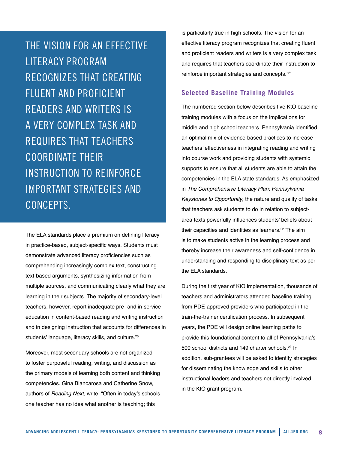THE VISION FOR AN EFFECTIVE LITERACY PROGRAM RECOGNIZES THAT CREATING FLUENT AND PROFICIENT READERS AND WRITERS IS A VERY COMPLEX TASK AND REQUIRES THAT TEACHERS COORDINATE THEIR INSTRUCTION TO REINFORCE IMPORTANT STRATEGIES AND CONCEPTS.

The ELA standards place a premium on defining literacy in practice-based, subject-specific ways. Students must demonstrate advanced literacy proficiencies such as comprehending increasingly complex text, constructing text-based arguments, synthesizing information from multiple sources, and communicating clearly what they are learning in their subjects. The majority of secondary-level teachers, however, report inadequate pre- and in-service education in content-based reading and writing instruction and in designing instruction that accounts for differences in students' language, literacy skills, and culture.<sup>20</sup>

Moreover, most secondary schools are not organized to foster purposeful reading, writing, and discussion as the primary models of learning both content and thinking competencies. Gina Biancarosa and Catherine Snow, authors of *Reading Next*, write, "Often in today's schools one teacher has no idea what another is teaching; this

is particularly true in high schools. The vision for an effective literacy program recognizes that creating fluent and proficient readers and writers is a very complex task and requires that teachers coordinate their instruction to reinforce important strategies and concepts."<sup>21</sup>

#### **Selected Baseline Training Modules**

The numbered section below describes five KtO baseline training modules with a focus on the implications for middle and high school teachers. Pennsylvania identified an optimal mix of evidence-based practices to increase teachers' effectiveness in integrating reading and writing into course work and providing students with systemic supports to ensure that all students are able to attain the competencies in the ELA state standards. As emphasized in *The Comprehensive Literacy Plan: Pennsylvania Keystones to Opportunity*, the nature and quality of tasks that teachers ask students to do in relation to subjectarea texts powerfully influences students' beliefs about their capacities and identities as learners.<sup>22</sup> The aim is to make students active in the learning process and thereby increase their awareness and self-confidence in understanding and responding to disciplinary text as per the ELA standards.

During the first year of KtO implementation, thousands of teachers and administrators attended baseline training from PDE-approved providers who participated in the train-the-trainer certification process. In subsequent years, the PDE will design online learning paths to provide this foundational content to all of Pennsylvania's 500 school districts and 149 charter schools.<sup>23</sup> In addition, sub-grantees will be asked to identify strategies for disseminating the knowledge and skills to other instructional leaders and teachers not directly involved in the KtO grant program.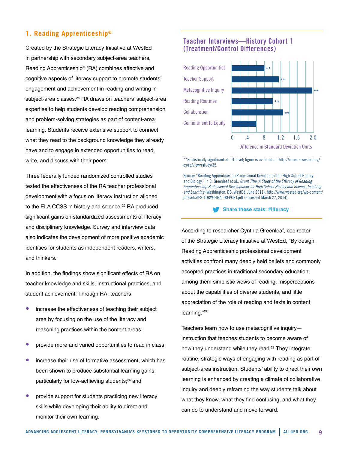#### **1. Reading Apprenticeship®**

Created by the Strategic Literacy Initiative at WestEd in partnership with secondary subject-area teachers, Reading Apprenticeship® (RA) combines affective and cognitive aspects of literacy support to promote students' engagement and achievement in reading and writing in subject-area classes.<sup>24</sup> RA draws on teachers' subject-area expertise to help students develop reading comprehension and problem-solving strategies as part of content-area learning. Students receive extensive support to connect what they read to the background knowledge they already have and to engage in extended opportunities to read, write, and discuss with their peers.

Three federally funded randomized controlled studies tested the effectiveness of the RA teacher professional development with a focus on literacy instruction aligned to the ELA CCSS in history and science.<sup>25</sup> RA produced significant gains on standardized assessments of literacy and disciplinary knowledge. Survey and interview data also indicates the development of more positive academic identities for students as independent readers, writers, and thinkers.

In addition, the findings show significant effects of RA on teacher knowledge and skills, instructional practices, and student achievement. Through RA, teachers

- increase the effectiveness of teaching their subject area by focusing on the use of the literacy and reasoning practices within the content areas;
- provide more and varied opportunities to read in class;
- increase their use of formative assessment, which has been shown to produce substantial learning gains, particularly for low-achieving students;<sup>26</sup> and
- provide support for students practicing new literacy skills while developing their ability to direct and monitor their own learning.

#### **Teacher Interviews—History Cohort 1 (Treatment/Control Differences)**



\*\*Statistically significant at .01 level; figure is available at [http://careers.wested.org/](http://careers.wested.org/cs/ra/view/rstudy/35) [cs/ra/view/rstudy/35.](http://careers.wested.org/cs/ra/view/rstudy/35)

Source: "Reading Apprenticeship Professional Development in High School History and Biology," in C. Greenleaf et al., *Grant Title: A Study of the Efficacy of Reading Apprenticeship Professional Development for High School History and Science Teaching and Learning* (Washington, DC: WestEd, June 2011), [http://www.wested.org/wp-content/](http://www.wested.org/wp-content/uploads/IES-TQRW-FINAL-REPORT.pdf) [uploads/IES-TQRW-FINAL-REPORT.pdf](http://www.wested.org/wp-content/uploads/IES-TQRW-FINAL-REPORT.pdf) (accessed March 27, 2014).

#### **Share these stats: #literacy**

According to researcher Cynthia Greenleaf, codirector of the Strategic Literacy Initiative at WestEd, "By design, Reading Apprenticeship professional development activities confront many deeply held beliefs and commonly accepted practices in traditional secondary education, among them simplistic views of reading, misperceptions about the capabilities of diverse students, and little appreciation of the role of reading and texts in content learning."27

Teachers learn how to use metacognitive inquiry instruction that teaches students to become aware of how they understand while they read.<sup>28</sup> They integrate routine, strategic ways of engaging with reading as part of subject-area instruction. Students' ability to direct their own learning is enhanced by creating a climate of collaborative inquiry and deeply reframing the way students talk about what they know, what they find confusing, and what they can do to understand and move forward.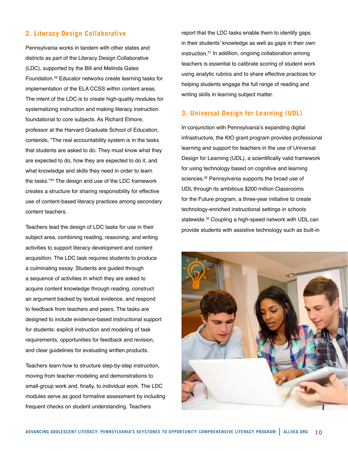#### **2. Literacy Design Collaborative**

Pennsylvania works in tandem with other states and districts as part of the Literacy Design Collaborative (LDC), supported by the Bill and Melinda Gates Foundation.<sup>29</sup> Educator networks create learning tasks for implementation of the ELA CCSS within content areas. The intent of the LDC is to create high-quality modules for systematizing instruction and making literacy instruction foundational to core subjects. As Richard Elmore, professor at the Harvard Graduate School of Education, contends, "The real accountability system is in the tasks that students are asked to do. They must know what they are expected to do, how they are expected to do it, and what knowledge and skills they need in order to learn the tasks."<sup>30</sup> The design and use of the LDC framework creates a structure for sharing responsibility for effective use of content-based literacy practices among secondary content teachers.

Teachers lead the design of LDC tasks for use in their subject area, combining reading, reasoning, and writing activities to support literacy development and content acquisition. The LDC task requires students to produce a culminating essay. Students are guided through a sequence of activities in which they are asked to acquire content knowledge through reading, construct an argument backed by textual evidence, and respond to feedback from teachers and peers. The tasks are designed to include evidence-based instructional support for students: explicit instruction and modeling of task requirements, opportunities for feedback and revision, and clear guidelines for evaluating written products.

Teachers learn how to structure step-by-step instruction, moving from teacher modeling and demonstrations to small-group work and, finally, to individual work. The LDC modules serve as good formative assessment by including frequent checks on student understanding. Teachers

report that the LDC tasks enable them to identify gaps in their students' knowledge as well as gaps in their own instruction.<sup>31</sup> In addition, ongoing collaboration among teachers is essential to calibrate scoring of student work using analytic rubrics and to share effective practices for helping students engage the full range of reading and writing skills in learning subject matter.

#### **3. Universal Design for Learning (UDL)**

In conjunction with Pennsylvania's expanding digital infrastructure, the KtO grant program provides professional learning and support for teachers in the use of Universal Design for Learning (UDL), a scientifically valid framework for using technology based on cognitive and learning sciences.<sup>32</sup> Pennsylvania supports the broad use of UDL through its ambitious \$200 million Classrooms for the Future program, a three-year initiative to create technology-enriched instructional settings in schools statewide.<sup>33</sup> Coupling a high-speed network with UDL can provide students with assistive technology such as built-in

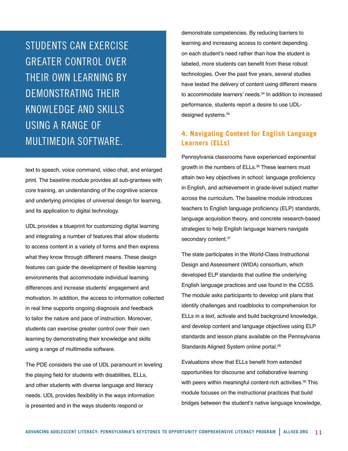STUDENTS CAN EXERCISE GREATER CONTROL OVER THEIR OWN LEARNING BY DEMONSTRATING THEIR KNOWLEDGE AND SKILLS USING A RANGE OF MULTIMEDIA SOFTWARE.

text to speech, voice command, video chat, and enlarged print. The baseline module provides all sub-grantees with core training, an understanding of the cognitive science and underlying principles of universal design for learning, and its application to digital technology.

UDL provides a blueprint for customizing digital learning and integrating a number of features that allow students to access content in a variety of forms and then express what they know through different means. These design features can guide the development of flexible learning environments that accommodate individual learning differences and increase students' engagement and motivation. In addition, the access to information collected in real time supports ongoing diagnosis and feedback to tailor the nature and pace of instruction. Moreover, students can exercise greater control over their own learning by demonstrating their knowledge and skills using a range of multimedia software.

The PDE considers the use of UDL paramount in leveling the playing field for students with disabilities, ELLs, and other students with diverse language and literacy needs. UDL provides flexibility in the ways information is presented and in the ways students respond or

demonstrate competencies. By reducing barriers to learning and increasing access to content depending on each student's need rather than how the student is labeled, more students can benefit from these robust technologies. Over the past five years, several studies have tested the delivery of content using different means to accommodate learners' needs.<sup>34</sup> In addition to increased performance, students report a desire to use UDLdesigned systems.<sup>35</sup>

#### **4. Navigating Content for English Language Learners (ELLs)**

Pennsylvania classrooms have experienced exponential growth in the numbers of ELLs.<sup>36</sup> These learners must attain two key objectives in school: language proficiency in English, and achievement in grade-level subject matter across the curriculum. The baseline module introduces teachers to English language proficiency (ELP) standards, language acquisition theory, and concrete research-based strategies to help English language learners navigate secondary content.<sup>37</sup>

The state participates in the World-Class Instructional Design and Assessment (WIDA) consortium, which developed ELP standards that outline the underlying English language practices and use found in the CCSS. The module asks participants to develop unit plans that identify challenges and roadblocks to comprehension for ELLs in a text, activate and build background knowledge, and develop content and language objectives using ELP standards and lesson plans available on the Pennsylvania Standards Aligned System online portal.<sup>38</sup>

Evaluations show that ELLs benefit from extended opportunities for discourse and collaborative learning with peers within meaningful content-rich activities.<sup>39</sup> This module focuses on the instructional practices that build bridges between the student's native language knowledge,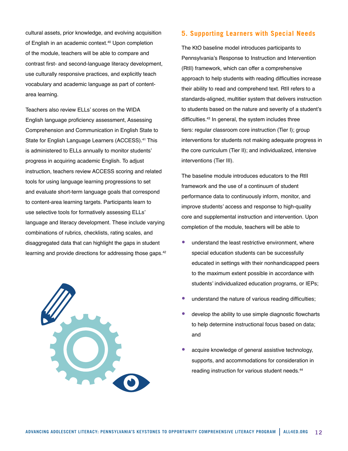cultural assets, prior knowledge, and evolving acquisition of English in an academic context.<sup>40</sup> Upon completion of the module, teachers will be able to compare and contrast first- and second-language literacy development, use culturally responsive practices, and explicitly teach vocabulary and academic language as part of contentarea learning.

Teachers also review ELLs' scores on the WIDA English language proficiency assessment, Assessing Comprehension and Communication in English State to State for English Language Learners (ACCESS).<sup>41</sup> This is administered to ELLs annually to monitor students' progress in acquiring academic English. To adjust instruction, teachers review ACCESS scoring and related tools for using language learning progressions to set and evaluate short-term language goals that correspond to content-area learning targets. Participants learn to use selective tools for formatively assessing ELLs' language and literacy development. These include varying combinations of rubrics, checklists, rating scales, and disaggregated data that can highlight the gaps in student learning and provide directions for addressing those gaps.<sup>42</sup>



#### **5. Supporting Learners with Special Needs**

The KtO baseline model introduces participants to Pennsylvania's Response to Instruction and Intervention (RtII) framework, which can offer a comprehensive approach to help students with reading difficulties increase their ability to read and comprehend text. RtII refers to a standards-aligned, multitier system that delivers instruction to students based on the nature and severity of a student's difficulties.<sup>43</sup> In general, the system includes three tiers: regular classroom core instruction (Tier I); group interventions for students not making adequate progress in the core curriculum (Tier II); and individualized, intensive interventions (Tier III).

The baseline module introduces educators to the RtII framework and the use of a continuum of student performance data to continuously inform, monitor, and improve students' access and response to high-quality core and supplemental instruction and intervention. Upon completion of the module, teachers will be able to

- understand the least restrictive environment, where special education students can be successfully educated in settings with their nonhandicapped peers to the maximum extent possible in accordance with students' individualized education programs, or IEPs;
- understand the nature of various reading difficulties;
- develop the ability to use simple diagnostic flowcharts to help determine instructional focus based on data; and
- acquire knowledge of general assistive technology, supports, and accommodations for consideration in reading instruction for various student needs.<sup>44</sup>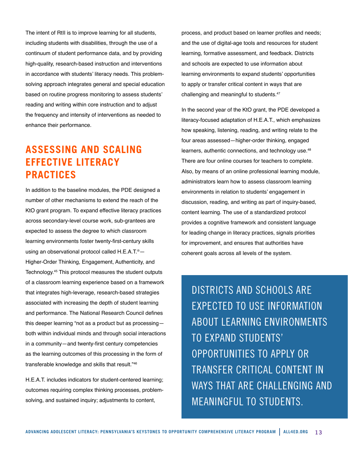The intent of RtII is to improve learning for all students, including students with disabilities, through the use of a continuum of student performance data, and by providing high-quality, research-based instruction and interventions in accordance with students' literacy needs. This problemsolving approach integrates general and special education based on routine progress monitoring to assess students' reading and writing within core instruction and to adjust the frequency and intensity of interventions as needed to enhance their performance.

# **ASSESSING AND SCALING EFFECTIVE LITERACY PRACTICES**

In addition to the baseline modules, the PDE designed a number of other mechanisms to extend the reach of the KtO grant program. To expand effective literacy practices across secondary-level course work, sub-grantees are expected to assess the degree to which classroom learning environments foster twenty-first-century skills using an observational protocol called H.E.A.T.®— Higher-Order Thinking, Engagement, Authenticity, and Technology.45 This protocol measures the student outputs of a classroom learning experience based on a framework that integrates high-leverage, research-based strategies associated with increasing the depth of student learning and performance. The National Research Council defines this deeper learning "not as a product but as processing both within individual minds and through social interactions in a community—and twenty-first century competencies as the learning outcomes of this processing in the form of transferable knowledge and skills that result."46

H.E.A.T. includes indicators for student-centered learning; outcomes requiring complex thinking processes, problemsolving, and sustained inquiry; adjustments to content,

process, and product based on learner profiles and needs; and the use of digital-age tools and resources for student learning, formative assessment, and feedback. Districts and schools are expected to use information about learning environments to expand students' opportunities to apply or transfer critical content in ways that are challenging and meaningful to students.47

In the second year of the KtO grant, the PDE developed a literacy-focused adaptation of H.E.A.T., which emphasizes how speaking, listening, reading, and writing relate to the four areas assessed—higher-order thinking, engaged learners, authentic connections, and technology use.<sup>48</sup> There are four online courses for teachers to complete. Also, by means of an online professional learning module, administrators learn how to assess classroom learning environments in relation to students' engagement in discussion, reading, and writing as part of inquiry-based, content learning. The use of a standardized protocol provides a cognitive framework and consistent language for leading change in literacy practices, signals priorities for improvement, and ensures that authorities have coherent goals across all levels of the system.

DISTRICTS AND SCHOOLS ARE EXPECTED TO USE INFORMATION ABOUT LEARNING ENVIRONMENTS TO EXPAND STUDENTS' OPPORTUNITIES TO APPLY OR TRANSFER CRITICAL CONTENT IN WAYS THAT ARF CHALLENGING AND MEANINGFUL TO STUDENTS.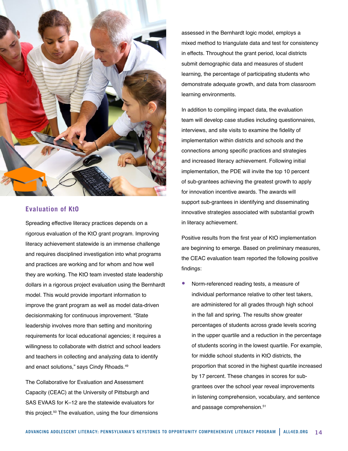

#### **Evaluation of KtO**

Spreading effective literacy practices depends on a rigorous evaluation of the KtO grant program. Improving literacy achievement statewide is an immense challenge and requires disciplined investigation into what programs and practices are working and for whom and how well they are working. The KtO team invested state leadership dollars in a rigorous project evaluation using the Bernhardt model. This would provide important information to improve the grant program as well as model data-driven decisionmaking for continuous improvement. "State leadership involves more than setting and monitoring requirements for local educational agencies; it requires a willingness to collaborate with district and school leaders and teachers in collecting and analyzing data to identify and enact solutions," says Cindy Rhoads.<sup>49</sup>

The Collaborative for Evaluation and Assessment Capacity (CEAC) at the University of Pittsburgh and SAS EVAAS for K–12 are the statewide evaluators for this project.<sup>50</sup> The evaluation, using the four dimensions

assessed in the Bernhardt logic model, employs a mixed method to triangulate data and test for consistency in effects. Throughout the grant period, local districts submit demographic data and measures of student learning, the percentage of participating students who demonstrate adequate growth, and data from classroom learning environments.

In addition to compiling impact data, the evaluation team will develop case studies including questionnaires, interviews, and site visits to examine the fidelity of implementation within districts and schools and the connections among specific practices and strategies and increased literacy achievement. Following initial implementation, the PDE will invite the top 10 percent of sub-grantees achieving the greatest growth to apply for innovation incentive awards. The awards will support sub-grantees in identifying and disseminating innovative strategies associated with substantial growth in literacy achievement.

Positive results from the first year of KtO implementation are beginning to emerge. Based on preliminary measures, the CEAC evaluation team reported the following positive findings:

Norm-referenced reading tests, a measure of individual performance relative to other test takers, are administered for all grades through high school in the fall and spring. The results show greater percentages of students across grade levels scoring in the upper quartile and a reduction in the percentage of students scoring in the lowest quartile. For example, for middle school students in KtO districts, the proportion that scored in the highest quartile increased by 17 percent. These changes in scores for subgrantees over the school year reveal improvements in listening comprehension, vocabulary, and sentence and passage comprehension.<sup>51</sup>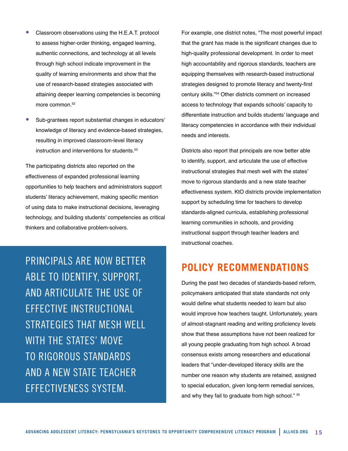- Classroom observations using the H.E.A.T. protocol to assess higher-order thinking, engaged learning, authentic connections, and technology at all levels through high school indicate improvement in the quality of learning environments and show that the use of research-based strategies associated with attaining deeper learning competencies is becoming more common.<sup>52</sup>
- Sub-grantees report substantial changes in educators' knowledge of literacy and evidence-based strategies, resulting in improved classroom-level literacy instruction and interventions for students.53

The participating districts also reported on the effectiveness of expanded professional learning opportunities to help teachers and administrators support students' literacy achievement, making specific mention of using data to make instructional decisions, leveraging technology, and building students' competencies as critical thinkers and collaborative problem-solvers.

PRINCIPALS ARE NOW BETTER ABLE TO IDENTIFY, SUPPORT, AND ARTICULATE THE USE OF EFFECTIVE INSTRUCTIONAL STRATEGIES THAT MESH WELL WITH THE STATES' MOVE TO RIGOROUS STANDARDS AND A NEW STATE TEACHER EFFECTIVENESS SYSTEM.

For example, one district notes, "The most powerful impact that the grant has made is the significant changes due to high-quality professional development. In order to meet high accountability and rigorous standards, teachers are equipping themselves with research-based instructional strategies designed to promote literacy and twenty-first century skills."54 Other districts comment on increased access to technology that expands schools' capacity to differentiate instruction and builds students' language and literacy competencies in accordance with their individual needs and interests.

Districts also report that principals are now better able to identify, support, and articulate the use of effective instructional strategies that mesh well with the states' move to rigorous standards and a new state teacher effectiveness system. KtO districts provide implementation support by scheduling time for teachers to develop standards-aligned curricula, establishing professional learning communities in schools, and providing instructional support through teacher leaders and instructional coaches.

### **POLICY RECOMMENDATIONS**

During the past two decades of standards-based reform, policymakers anticipated that state standards not only would define what students needed to learn but also would improve how teachers taught. Unfortunately, years of almost-stagnant reading and writing proficiency levels show that these assumptions have not been realized for all young people graduating from high school. A broad consensus exists among researchers and educational leaders that "under-developed literacy skills are the number one reason why students are retained, assigned to special education, given long-term remedial services, and why they fail to graduate from high school." <sup>55</sup>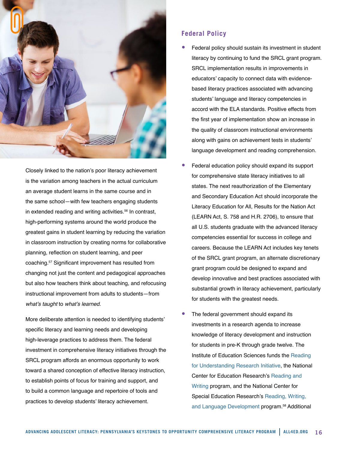

Closely linked to the nation's poor literacy achievement is the variation among teachers in the actual curriculum an average student learns in the same course and in the same school—with few teachers engaging students in extended reading and writing activities.<sup>56</sup> In contrast, high-performing systems around the world produce the greatest gains in student learning by reducing the variation in classroom instruction by creating norms for collaborative planning, reflection on student learning, and peer coaching.57 Significant improvement has resulted from changing not just the content and pedagogical approaches but also how teachers think about teaching, and refocusing instructional improvement from adults to students—from what's taught to what's learned.

More deliberate attention is needed to identifying students' specific literacy and learning needs and developing high-leverage practices to address them. The federal investment in comprehensive literacy initiatives through the SRCL program affords an enormous opportunity to work toward a shared conception of effective literacy instruction, to establish points of focus for training and support, and to build a common language and repertoire of tools and practices to develop students' literacy achievement.

#### **Federal Policy**

- Federal policy should sustain its investment in student literacy by continuing to fund the SRCL grant program. SRCL implementation results in improvements in educators' capacity to connect data with evidencebased literacy practices associated with advancing students' language and literacy competencies in accord with the ELA standards. Positive effects from the first year of implementation show an increase in the quality of classroom instructional environments along with gains on achievement tests in students' language development and reading comprehension.
- Federal education policy should expand its support for comprehensive state literacy initiatives to all states. The next reauthorization of the Elementary and Secondary Education Act should incorporate the Literacy Education for All, Results for the Nation Act (LEARN Act, S. 758 and H.R. 2706), to ensure that all U.S. students graduate with the advanced literacy competencies essential for success in college and careers. Because the LEARN Act includes key tenets of the SRCL grant program, an alternate discretionary grant program could be designed to expand and develop innovative and best practices associated with substantial growth in literacy achievement, particularly for students with the greatest needs.
- The federal government should expand its investments in a research agenda to increase knowledge of literacy development and instruction for students in pre-K through grade twelve. The Institute of Education Sciences funds the [Reading](http://ies.ed.gov/ncer/projects/program.asp?ProgID=62)  [for Understanding Research Initiative,](http://ies.ed.gov/ncer/projects/program.asp?ProgID=62) the National Center for Education Research's [Reading and](http://ies.ed.gov/ncser/projects/program.asp?ProgID=43)  [Writing](http://ies.ed.gov/ncser/projects/program.asp?ProgID=43) program, and the National Center for Special Education Research's [Reading, Writing,](http://ies.ed.gov/ncser/projects/program.asp?ProgID=43)  [and Language Development](http://ies.ed.gov/ncser/projects/program.asp?ProgID=43) program.58 Additional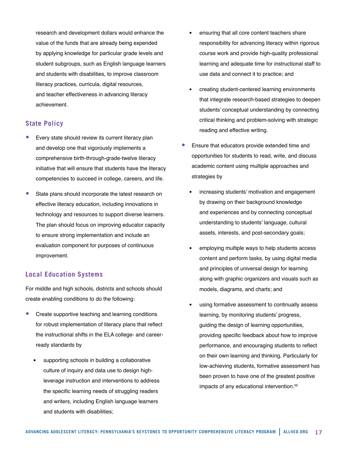research and development dollars would enhance the value of the funds that are already being expended by applying knowledge for particular grade levels and student subgroups, such as English language learners and students with disabilities, to improve classroom literacy practices, curricula, digital resources, and teacher effectiveness in advancing literacy achievement.

#### **State Policy**

- Every state should review its current literacy plan and develop one that vigorously implements a comprehensive birth-through-grade-twelve literacy initiative that will ensure that students have the literacy competencies to succeed in college, careers, and life.
- State plans should incorporate the latest research on effective literacy education, including innovations in technology and resources to support diverse learners. The plan should focus on improving educator capacity to ensure strong implementation and include an evaluation component for purposes of continuous improvement.

#### **Local Education Systems**

For middle and high schools, districts and schools should create enabling conditions to do the following:

- Create supportive teaching and learning conditions for robust implementation of literacy plans that reflect the instructional shifts in the ELA college- and careerready standards by
	- supporting schools in building a collaborative culture of inquiry and data use to design highleverage instruction and interventions to address the specific learning needs of struggling readers and writers, including English language learners and students with disabilities;
- ensuring that all core content teachers share responsibility for advancing literacy within rigorous course work and provide high-quality professional learning and adequate time for instructional staff to use data and connect it to practice; and
- creating student-centered learning environments that integrate research-based strategies to deepen students' conceptual understanding by connecting critical thinking and problem-solving with strategic reading and effective writing.
- Ensure that educators provide extended time and opportunities for students to read, write, and discuss academic content using multiple approaches and strategies by
	- increasing students' motivation and engagement by drawing on their background knowledge and experiences and by connecting conceptual understanding to students' language, cultural assets, interests, and post-secondary goals;
	- employing multiple ways to help students access content and perform tasks, by using digital media and principles of universal design for learning along with graphic organizers and visuals such as models, diagrams, and charts; and
	- using formative assessment to continually assess learning, by monitoring students' progress, guiding the design of learning opportunities, providing specific feedback about how to improve performance, and encouraging students to reflect on their own learning and thinking. Particularly for low-achieving students, formative assessment has been proven to have one of the greatest positive impacts of any educational intervention.59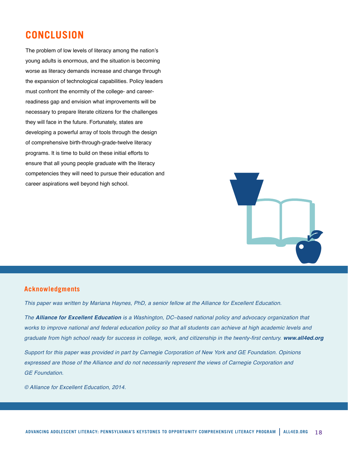### **CONCLUSION**

The problem of low levels of literacy among the nation's young adults is enormous, and the situation is becoming worse as literacy demands increase and change through the expansion of technological capabilities. Policy leaders must confront the enormity of the college- and careerreadiness gap and envision what improvements will be necessary to prepare literate citizens for the challenges they will face in the future. Fortunately, states are developing a powerful array of tools through the design of comprehensive birth-through-grade-twelve literacy programs. It is time to build on these initial efforts to ensure that all young people graduate with the literacy competencies they will need to pursue their education and career aspirations well beyond high school.



#### **Acknowledgments**

*This paper was written by Mariana Haynes, PhD, a senior fellow at the Alliance for Excellent Education.*

*The Alliance for Excellent Education is a Washington, DC–based national policy and advocacy organization that*  works to improve national and federal education policy so that all students can achieve at high academic levels and graduate from high school ready for success in college, work, and citizenship in the twenty-first century. *www.all4ed.org*

*Support for this paper was provided in part by Carnegie Corporation of New York and GE Foundation. Opinions expressed are those of the Alliance and do not necessarily represent the views of Carnegie Corporation and GE Foundation.*

*© Alliance for Excellent Education, 2014.*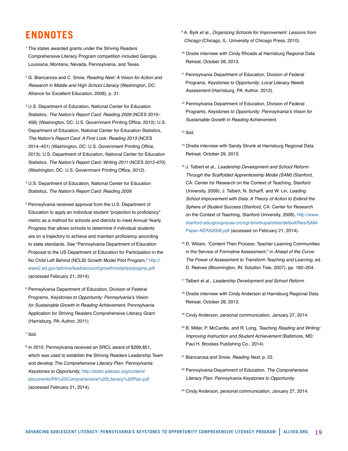# **ENDNOTES**

- <sup>1</sup> The states awarded grants under the Striving Readers Comprehensive Literacy Program competition included Georgia, Louisiana, Montana, Nevada, Pennsylvania, and Texas.
- <sup>2</sup> G. Biancarosa and C. Snow, *Reading Next: A Vision for Action and Research in Middle and High School Literacy* (Washington, DC: Alliance for Excellent Education, 2006), p. 31.
- <sup>3</sup> U.S. Department of Education, National Center for Education Statistics, The Nation's Report Card: Reading 2009 (NCES 2010– 458) (Washington, DC: U.S. Government Printing Office, 2010); U.S. Department of Education, National Center for Education Statistics, The Nation's Report Card: A First Look: Reading 2013 (NCES 2014–451) (Washington, DC: U.S. Government Printing Office, 2013); U.S. Department of Education, National Center for Education Statistics, The Nation's Report Card: Writing 2011 (NCES 2012-470) (Washington, DC: U.S. Government Printing Office, 2012).
- <sup>4</sup> U.S. Department of Education, National Center for Education Statistics, The Nation's Report Card: Reading 2009.
- <sup>5</sup> Pennsylvania received approval from the U.S. Department of Education to apply an individual student "projection to proficiency" metric as a method for schools and districts to meet Annual Yearly Progress that allows schools to determine if individual students are on a trajectory to achieve and maintain proficiency according to state standards. See "Pennsylvania Department of Education Proposal to the US Department of Education for Participation in the No Child Left Behind (NCLB) Growth Model Pilot Program," [http://](http://www2.ed.gov/admins/lead/account/growthmodel/pa/pagmp.pdf) [www2.ed.gov/admins/lead/account/growthmodel/pa/pagmp.pdf](http://www2.ed.gov/admins/lead/account/growthmodel/pa/pagmp.pdf) (accessed February 21, 2014).
- <sup>6</sup> Pennsylvania Department of Education, Division of Federal Programs, Keystones to Opportunity: Pennsylvania's Vision *for Sustainable Growth in Reading Achievement*, Pennsylvania Application for Striving Readers Comprehensive Literacy Grant (Harrisburg, PA: Author, 2011).
- <sup>7</sup> Ibid.
- <sup>8</sup> In 2010, Pennsylvania received an SRCL award of \$299,851, which was used to establish the Striving Readers Leadership Team and develop *The Comprehensive Literacy Plan: Pennsylvania Keystones to Opportunity*, [http://static.pdesas.org/content/](http://static.pdesas.org/content/documents/PA%20Comprehensive%20Literacy%20Plan.pdf) [documents/PA%20Comprehensive%20Literacy%20Plan.pdf](http://static.pdesas.org/content/documents/PA%20Comprehensive%20Literacy%20Plan.pdf) (accessed February 21, 2014).
- <sup>9</sup> A. Byrk et al., *Organizing Schools for Improvement: Lessons from Chicago* (Chicago, IL: University of Chicago Press, 2010).
- <sup>10</sup> Onsite interview with Cindy Rhoads at Harrisburg Regional Data Retreat, October 28, 2013.
- <sup>11</sup> Pennsylvania Department of Education, Division of Federal Programs, *Keystones to Opportunity: Local Literacy Needs Assessment* (Harrisburg, PA: Author, 2012).
- <sup>12</sup> Pennsylvania Department of Education, Division of Federal Programs, Keystones to Opportunity: Pennsylvania's Vision for *Sustainable Growth in Reading Achievement*.
- <sup>13</sup> Ibid.
- <sup>14</sup> Onsite interview with Sandy Strunk at Harrisburg Regional Data Retreat, October 29, 2013.
- <sup>15</sup> J. Talbert et al., *Leadership Development and School Reform Through the Scaffolded Apprenticeship Model (SAM)* (Stanford, CA: Center for Research on the Context of Teaching, Stanford University, 2009); J. Talbert, N. Scharff, and W. Lin, *Leading School Improvement with Data: A Theory of Action to Extend the Sphere of Student Success* (Stanford, CA: Center for Research on the Context of Teaching, Stanford University, 2008), [http://www.](http://www.stanford.edu/group/suse-crc/cgi-bin/drupal/sites/default/files/SAM-Paper-AERA2008.pdf) [stanford.edu/group/suse-crc/cgi-bin/drupal/sites/default/files/SAM-](http://www.stanford.edu/group/suse-crc/cgi-bin/drupal/sites/default/files/SAM-Paper-AERA2008.pdf)[Paper-AERA2008.pdf \(accessed on February 21, 2014\).](http://www.stanford.edu/group/suse-crc/cgi-bin/drupal/sites/default/files/SAM-Paper-AERA2008.pdf)
- <sup>16</sup> D. Wiliam, "Content Then Process: Teacher Learning Communities in the Service of Formative Assessment," in *Ahead of the Curve: The Power of Assessment to Transform Teaching and Learning*, ed. D. Reeves (Bloomington, IN: Solution Tree, 2007), pp. 182–204.
- <sup>17</sup> Talbert et al., *Leadership Development and School Reform*.
- 18 Onsite interview with Cindy Anderson at Harrisburg Regional Data Retreat, October 28, 2013.
- <sup>19</sup> Cindy Anderson, personal communication, January 27, 2014.
- <sup>20</sup> B. Miller, P. McCardle, and R. Long, *Teaching Reading and Writing: Improving Instruction and Student Achievement* (Baltimore, MD: Paul H. Brookes Publishing Co., 2014).
- <sup>21</sup> Biancarosa and Snow, *Reading Next*, p. 22.
- <sup>22</sup> Pennsylvania Department of Education, *The Comprehensive Literacy Plan: Pennsylvania Keystones to Opportunity*.
- <sup>23</sup> Cindy Anderson, personal communication, January 27, 2014.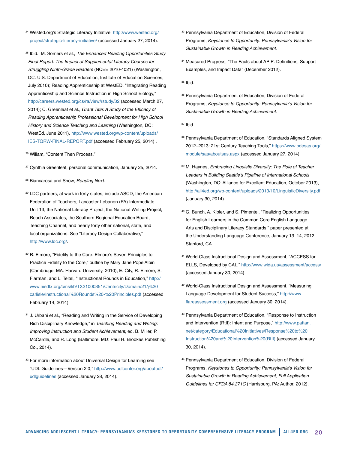- <sup>24</sup> Wested.org's Strategic Literacy Initiative, [http://www.wested.org/](http://www.wested.org/project/strategic-literacy-initiative/) [project/strategic-literacy-initiative/](http://www.wested.org/project/strategic-literacy-initiative/) (accessed January 27, 2014).
- 25 Ibid.; M. Somers et al., *The Enhanced Reading Opportunities Study Final Report: The Impact of Supplemental Literacy Courses for Struggling Ninth-Grade Readers* (NCEE 2010-4021) (Washington, DC: U.S. Department of Education, Institute of Education Sciences, July 2010); Reading Apprenticeship at WestED, "Integrating Reading Apprenticeship and Science Instruction in High School Biology," <http://careers.wested.org/cs/ra/view/rstudy/32> (accessed March 27, 2014); C. Greenleaf et al., Grant Title: A Study of the Efficacy of *Reading Apprenticeship Professional Development for High School History and Science Teaching and Learning* (Washington, DC: WestEd, June 2011), [http://www.wested.org/wp-content/uploads/](http://www.wested.org/wp-content/uploads/IES-TQRW-FINAL-REPORT.pdf) [IES-TQRW-FINAL-REPORT.pdf](http://www.wested.org/wp-content/uploads/IES-TQRW-FINAL-REPORT.pdf) (accessed February 25, 2014) .
- <sup>26</sup> Wiliam, "Content Then Process."
- <sup>27</sup> Cynthia Greenleaf, personal communication, January 25, 2014.
- <sup>28</sup> Biancarosa and Snow, *Reading Next*.
- <sup>29</sup> LDC partners, at work in forty states, include ASCD, the American Federation of Teachers, Lancaster-Lebanon (PA) Intermediate Unit 13, the National Literacy Project, the National Writing Project, Reach Associates, the Southern Regional Education Board, Teaching Channel, and nearly forty other national, state, and local organizations. See "Literacy Design Collaborative," <http://www.ldc.org/.>
- <sup>30</sup> R. Elmore, "Fidelity to the Core: Elmore's Seven Principles to Practice Fidelity to the Core," outline by Mary Jane Pope Albin (Cambridge, MA: Harvard University, 2010); E. City, R. Elmore, S. Fiarman, and L. Teitel, "Instructional Rounds in Education," [http://](http://www.nisdtx.org/cms/lib/TX21000351/Centricity/Domain/21/j%20carlisle/Instructional%20Rounds%20-%20Principles.pdf) [www.nisdtx.org/cms/lib/TX21000351/Centricity/Domain/21/j%20](http://www.nisdtx.org/cms/lib/TX21000351/Centricity/Domain/21/j%20carlisle/Instructional%20Rounds%20-%20Principles.pdf) [carlisle/Instructional%20Rounds%20-%20Principles.pdf](http://www.nisdtx.org/cms/lib/TX21000351/Centricity/Domain/21/j%20carlisle/Instructional%20Rounds%20-%20Principles.pdf) (accessed February 14, 2014).
- <sup>31</sup> J. Urbani et al., "Reading and Writing in the Service of Developing Rich Disciplinary Knowledge," in *Teaching Reading and Writing: Improving Instruction and Student Achievement*, ed. B. Miller, P. McCardle, and R. Long (Baltimore, MD: Paul H. Brookes Publishing Co., 2014).
- <sup>32</sup> For more information about Universal Design for Learning see "UDL Guidelines—Version 2.0," [http://www.udlcenter.org/aboutudl/](http://www.udlcenter.org/aboutudl/udlguidelines) [udlguidelines](http://www.udlcenter.org/aboutudl/udlguidelines) (accessed January 28, 2014).
- 33 Pennsylvania Department of Education, Division of Federal Programs, Keystones to Opportunity: Pennsylvania's Vision for *Sustainable Growth in Reading Achievement*.
- <sup>34</sup> Measured Progress, "The Facts about APIP: Definitions, Support Examples, and Impact Data" (December 2012).
- $35$  Ibid.
- <sup>36</sup> Pennsylvania Department of Education, Division of Federal Programs, Keystones to Opportunity: Pennsylvania's Vision for *Sustainable Growth in Reading Achievement*.
- <sup>37</sup> Ibid.
- <sup>38</sup> Pennsylvania Department of Education, "Standards Aligned System 2012–2013: 21st Century Teaching Tools," [https://www.pdesas.org/](https://www.pdesas.org/module/sas/aboutsas.aspx) [module/sas/aboutsas.aspx](https://www.pdesas.org/module/sas/aboutsas.aspx) (accessed January 27, 2014).
- <sup>39</sup> M. Haynes, *Embracing Linguistic Diversity: The Role of Teacher*  Leaders in Building Seattle's Pipeline of International Schools (Washington, DC: Alliance for Excellent Education, October 2013), [http://all4ed.org/wp-content/uploads/2013/10/LinguisticDiversity.pdf](http://all4ed.org/wp-content/uploads/2013/10/LinguisticDiversity.pdf ) (January 30, 2014).
- <sup>40</sup> G. Bunch, A. Kibler, and S. Pimentel, "Realizing Opportunities for English Learners in the Common Core English Language Arts and Disciplinary Literacy Standards," paper presented at the Understanding Language Conference, January 13–14, 2012, Stanford, CA.
- <sup>41</sup> World-Class Instructional Design and Assessment, "ACCESS for ELLS, Developed by CAL," http://www.wida.us/assessment/access/ (accessed January 30, 2014).
- <sup>42</sup> World-Class Instructional Design and Assessment, "Measuring Language Development for Student Success," [http://www.](http://www.flareassessment.org) [flareassessment.org](http://www.flareassessment.org) (accessed January 30, 2014).
- <sup>43</sup> Pennsylvania Department of Education, "Response to Instruction and Intervention (RtII): Intent and Purpose," [http://www.pattan.](http://www.pattan.net/category/Educational%20Initiatives/Response%20to%20Instruction%20and%20Intervention%20(RtII)) [net/category/Educational%20Initiatives/Response%20to%20](http://www.pattan.net/category/Educational%20Initiatives/Response%20to%20Instruction%20and%20Intervention%20(RtII)) [Instruction%20and%20Intervention%20\(RtII\)](http://www.pattan.net/category/Educational%20Initiatives/Response%20to%20Instruction%20and%20Intervention%20(RtII)) (accessed January 30, 2014).
- <sup>44</sup> Pennsylvania Department of Education, Division of Federal Programs, Keystones to Opportunity: Pennsylvania's Vision for *Sustainable Growth in Reading Achievement, Full Application*  Guidelines for CFDA 84.371C (Harrisburg, PA: Author, 2012).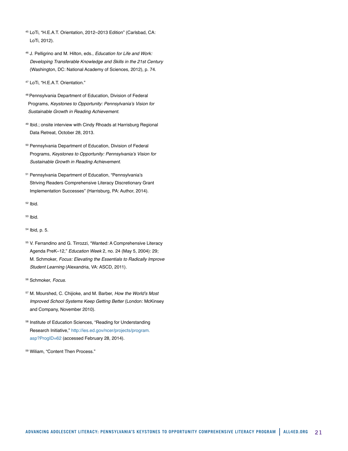- <sup>45</sup> LoTi, "H.E.A.T. Orientation, 2012–2013 Edition" (Carlsbad, CA: LoTi, 2012).
- <sup>46</sup> J. Pelligrino and M. Hilton, eds., *Education for Life and Work: Developing Transferable Knowledge and Skills in the 21st Century* (Washington, DC: National Academy of Sciences, 2012), p. 74.
- <sup>47</sup> LoTi, "H.E.A.T. Orientation."
- 48 Pennsylvania Department of Education, Division of Federal Programs, Keystones to Opportunity: Pennsylvania's Vision for *Sustainable Growth in Reading Achievement*.
- <sup>49</sup> Ibid.; onsite interview with Cindy Rhoads at Harrisburg Regional Data Retreat, October 28, 2013.
- <sup>50</sup> Pennsylvania Department of Education, Division of Federal Programs, Keystones to Opportunity: Pennsylvania's Vision for *Sustainable Growth in Reading Achievement*.
- <sup>51</sup> Pennsylvania Department of Education, "Pennsylvania's Striving Readers Comprehensive Literacy Discretionary Grant Implementation Successes" (Harrisburg, PA: Author, 2014).
- <sup>52</sup> Ibid.
- <sup>53</sup> Ibid.
- <sup>54</sup> Ibid, p. 5.
- <sup>55</sup> V. Ferrandino and G. Tirrozzi, "Wanted: A Comprehensive Literacy Agenda PreK–12," *Education Week* 2, no. 24 (May 5, 2004): 29; M. Schmoker, *Focus: Elevating the Essentials to Radically Improve Student Learning* (Alexandria, VA: ASCD, 2011).
- <sup>56</sup> Schmoker, *Focus*.
- 57 M. Mourshed, C. Chijioke, and M. Barber, How the World's Most *Improved School Systems Keep Getting Better* (London: McKinsey and Company, November 2010).
- <sup>58</sup> Institute of Education Sciences, "Reading for Understanding Research Initiative," [http://ies.ed.gov/ncer/projects/program.](http://ies.ed.gov/ncer/projects/program.asp?ProgID=62 ) [asp?ProgID=62](http://ies.ed.gov/ncer/projects/program.asp?ProgID=62 ) (accessed February 28, 2014).
- <sup>59</sup> Wiliam, "Content Then Process."